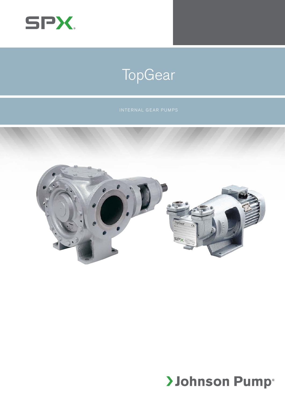

# **TopGear**



# **>Johnson Pump®**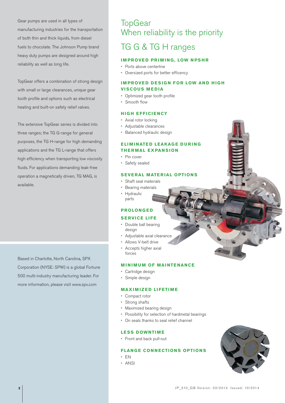Gear pumps are used in all types of manufacturing industries for the transportation of both thin and thick liquids, from diesel fuels to chocolate. The Johnson Pump brand heavy duty pumps are designed around high reliability as well as long life.

TopGear offers a combination of strong design with small or large clearances, unique gear tooth profile and options such as electrical heating and built-on safety relief valves.

The extensive TopGear series is divided into three ranges; the TG G-range for general purposes, the TG H-range for high demanding applications and the TG L-range that offers high efficiency when transporting low viscosity fluids. For applications demanding leak-free operation a magnetically driven, TG MAG, is available.

Based in Charlotte, North Carolina, SPX Corporation (NYSE: SPW) is a global Fortune 500 multi-industry manufacturing leader. For more information, please visit www.spx.com

# **TopGear** When reliability is the priority

## TG G & TG H ranges

#### **IMPROVED PRIMING, LOW NPSHR**

- Ports above centerline
- • Oversized ports for better efficency

#### **IMPROVED DESIGN FOR LOW AND HIGH VISCOUS MEDIA**

- Optimized gear tooth profile
- • Smooth flow

#### **HIGH EFFICIENCY**

- • Axial rotor locking
- • Adjustable clearances
- Balanced hydraulic design

#### **ELIMINATED LEAKAGE DURING THERMAL EXPANSION**

- Pin cover
- Safety sealed

#### **SEVERAL MATERIAL OPTIONS**

- Shaft seal materials
- Bearing materials
- • Hydraulic parts

#### **PROLONG E D**

#### **SERVICE LIFE**

- Double ball bearing design
- Adjustable axial clearance
- • Allows V-belt drive
- Accepts higher axial forces

#### **MINIMUM OF MAINTENANCE**

- Cartridge design
- • Simple design

#### **MAXIMIZED LIFETIME**

- • Compact rotor
- Strong shafts
- Maximized bearing design
- Possibility for selection of hardmetal bearings
- On seals thanks to seal relief channel

#### **LESS DOWNTIME**

• Front and back pull-out

#### **FLANGE CONNECTIONS OPTIONS**

- • EN
- • ANSI

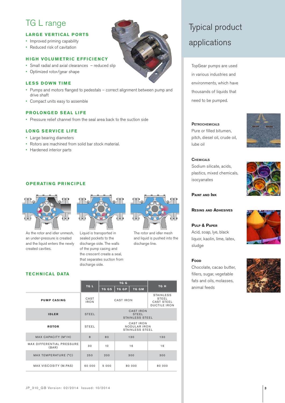## TG L range

#### **LARGE VERTICAL PORTS**

- Improved priming capability
- Reduced risk of cavitation

#### **HIGH VOLUMETRIC EFFICIENCY**

- • Small radial and axial clearances reduced slip
- • Optimized rotor/gear shape

#### **LESS DOWN TIME**

- • Pumps and motors flanged to pedestals correct alignment between pump and drive shaft
- • Compact units easy to assemble

#### **PROLONGED SEAL LIFE**

• Pressure relief channel from the seal area back to the suction side

#### **LONG SERVICE LIFE**

- • Large bearing diameters
- • Rotors are machined from solid bar stock material.
- • Hardened interior parts

#### **OPERATING PRINCIPLE**



As the rotor and idler unmesh, an under-pressure is created and the liquid enters the newly created cavities.

**TECHNICAL DATA**



Liquid is transported in sealed pockets to the discharge side. The walls of the pump casing and the crescent create a seal, that separates suction from discharge side.



The rotor and idler mesh and liquid is pushed into the discharge line.

|                                           |                     | TG G                                                       |        |              |                                                                              |
|-------------------------------------------|---------------------|------------------------------------------------------------|--------|--------------|------------------------------------------------------------------------------|
|                                           | TG <sub>L</sub>     | TG GS                                                      | TG GP  | <b>TG GM</b> | TG H                                                                         |
| <b>PUMP CASING</b>                        | CAST<br><b>IRON</b> | CAST IRON                                                  |        |              | <b>STAINLESS</b><br><b>STEEL</b><br><b>CAST STEEL</b><br><b>DUCTILE IRON</b> |
| <b>IDLER</b>                              | <b>STEEL</b>        | <b>CAST IRON</b><br><b>STEEL</b><br><b>STAINLESS STEEL</b> |        |              |                                                                              |
| <b>ROTOR</b>                              | STEEL               | <b>CAST IRON</b><br><b>NODULAR IRON</b><br>STAINLESS STEEL |        |              |                                                                              |
| MAX CAPACITY (M <sup>3</sup> /H)          | $\mathsf{R}$        | 80                                                         | 130    |              | 130                                                                          |
| <b>MAX DIFFERENTIAL PRESSURE</b><br>(BAR) | 30                  | 10                                                         | 16     |              | 16                                                                           |
| MAX TEMPERATURE (°C)                      | 250                 | 200                                                        | 300    |              | 300                                                                          |
| MAX VISCOSITY (M.PAS)                     | 60 000              | 5 000                                                      | 80 000 |              | 80 000                                                                       |

# Typical product applications

TopGear pumps are used in various industries and environments, which have thousands of liquids that need to be pumped.

#### **PETROCHEMICALS**

Pure or filled bitumen, pitch, diesel oil, crude oil, lube oil



#### **CHEMICALS** Sodium silicate, acids, plastics, mixed chemicals,



**PAINT AND INK**

isocyanates

**RESINS AND ADHESIVES**

#### **PULP & PAPER**

Acid, soap, lye, black liquor, kaolin, lime, latex, sludge

#### **FOOD**

Chocolate, cacao butter, fillers, sugar, vegetable fats and oils, molasses, animal feeds



J P\_310\_G B Version: 02/2014 Issued: 10/2014 **3**